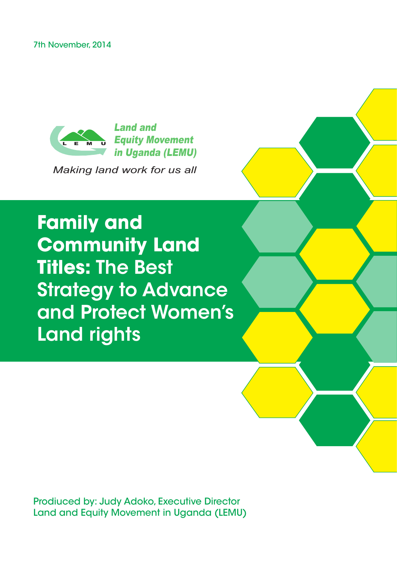7th November, 2014



*Making land work for us all*

**Family and Community Land Titles:** The Best Strategy to Advance and Protect Women's Land rights

Prodiuced by: Judy Adoko, Executive Director Land and Equity Movement in Uganda (LEMU)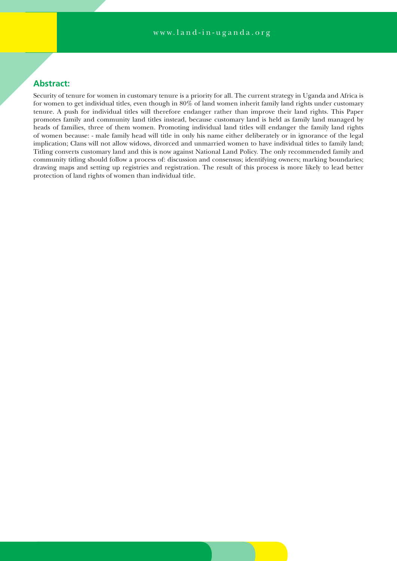# **Abstract:**

Security of tenure for women in customary tenure is a priority for all. The current strategy in Uganda and Africa is for women to get individual titles, even though in 80% of land women inherit family land rights under customary tenure. A push for individual titles will therefore endanger rather than improve their land rights. This Paper promotes family and community land titles instead, because customary land is held as family land managed by heads of families, three of them women. Promoting individual land titles will endanger the family land rights of women because: - male family head will title in only his name either deliberately or in ignorance of the legal implication; Clans will not allow widows, divorced and unmarried women to have individual titles to family land; Titling converts customary land and this is now against National Land Policy. The only recommended family and community titling should follow a process of: discussion and consensus; identifying owners; marking boundaries; drawing maps and setting up registries and registration. The result of this process is more likely to lead better protection of land rights of women than individual title.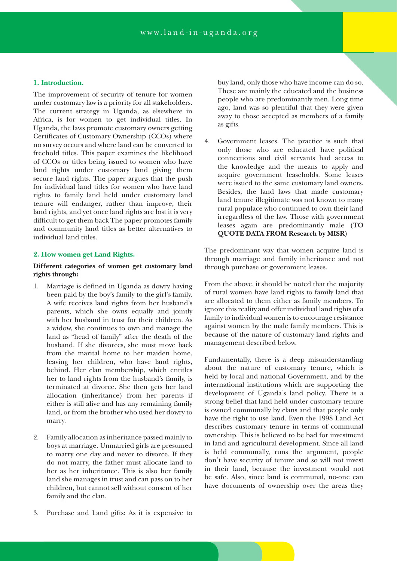#### **1. Introduction.**

The improvement of security of tenure for women under customary law is a priority for all stakeholders. The current strategy in Uganda, as elsewhere in Africa, is for women to get individual titles. In Uganda, the laws promote customary owners getting Certificates of Customary Ownership (CCOs) where no survey occurs and where land can be converted to freehold titles. This paper examines the likelihood of CCOs or titles being issued to women who have land rights under customary land giving them secure land rights. The paper argues that the push for individual land titles for women who have land rights to family land held under customary land tenure will endanger, rather than improve, their land rights, and yet once land rights are lost it is very difficult to get them back The paper promotes family and community land titles as better alternatives to individual land titles.

#### **2. How women get Land Rights.**

# **Different categories of women get customary land rights through:**

- Marriage is defined in Uganda as dowry having been paid by the boy's family to the girl's family. A wife receives land rights from her husband's parents, which she owns equally and jointly with her husband in trust for their children. As a widow, she continues to own and manage the land as "head of family" after the death of the husband. If she divorces, she must move back from the marital home to her maiden home, leaving her children, who have land rights, behind. Her clan membership, which entitles her to land rights from the husband's family, is terminated at divorce. She then gets her land allocation (inheritance) from her parents if either is still alive and has any remaining family land, or from the brother who used her dowry to marry.
- 2. Family allocation as inheritance passed mainly to boys at marriage. Unmarried girls are presumed to marry one day and never to divorce. If they do not marry, the father must allocate land to her as her inheritance. This is also her family land she manages in trust and can pass on to her children, but cannot sell without consent of her family and the clan.
- buy land, only those who have income can do so. These are mainly the educated and the business people who are predominantly men. Long time ago, land was so plentiful that they were given away to those accepted as members of a family as gifts.
- 4. Government leases. The practice is such that only those who are educated have political connections and civil servants had access to the knowledge and the means to apply and acquire government leaseholds. Some leases were issued to the same customary land owners. Besides, the land laws that made customary land tenure illegitimate was not known to many rural populace who continued to own their land irregardless of the law. Those with government leases again are predominantly male **(TO QUOTE DATA FROM Research by MISR)**

The predominant way that women acquire land is through marriage and family inheritance and not through purchase or government leases.

From the above, it should be noted that the majority of rural women have land rights to family land that are allocated to them either as family members. To ignore this reality and offer individual land rights of a family to individual women is to encourage resistance against women by the male family members. This is because of the nature of customary land rights and management described below.

Fundamentally, there is a deep misunderstanding about the nature of customary tenure, which is held by local and national Government, and by the international institutions which are supporting the development of Uganda's land policy. There is a strong belief that land held under customary tenure is owned communally by clans and that people only have the right to use land. Even the 1998 Land Act describes customary tenure in terms of communal ownership. This is believed to be bad for investment in land and agricultural development. Since all land is held communally, runs the argument, people don't have security of tenure and so will not invest in their land, because the investment would not be safe. Also, since land is communal, no-one can have documents of ownership over the areas they

3. Purchase and Land gifts: As it is expensive to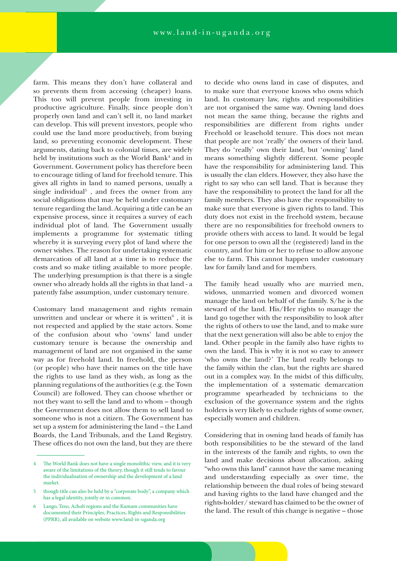farm. This means they don't have collateral and so prevents them from accessing (cheaper) loans. This too will prevent people from investing in productive agriculture. Finally, since people don't properly own land and can't sell it, no land market can develop. This will prevent investors, people who could use the land more productively, from buying land, so preventing economic development. These arguments, dating back to colonial times, are widely held by institutions such as the World Bank<sup>4</sup> and in Government. Government policy has therefore been to encourage titling of land for freehold tenure. This gives all rights in land to named persons, usually a single individual<sup>5</sup>, and frees the owner from any social obligations that may be held under customary tenure regarding the land. Acquiring a title can be an expensive process, since it requires a survey of each individual plot of land. The Government usually implements a programme for systematic titling whereby it is surveying every plot of land where the owner wishes. The reason for undertaking systematic demarcation of all land at a time is to reduce the costs and so make titling available to more people. The underlying presumption is that there is a single owner who already holds all the rights in that land - a patently false assumption, under customary tenure.

Customary land management and rights remain unwritten and unclear or where it is written $6$ , it is not respected and applied by the state actors. Some of the confusion about who 'owns' land under customary tenure is because the ownership and management of land are not organised in the same way as for freehold land. In freehold, the person (or people) who have their names on the title have the rights to use land as they wish, as long as the planning regulations of the authorities (e.g. the Town Council) are followed. They can choose whether or not they want to sell the land and to whom – though the Government does not allow them to sell land to someone who is not a citizen. The Government has set up a system for administering the land – the Land Boards, the Land Tribunals, and the Land Registry. These offices do not own the land, but they are there

to decide who owns land in case of disputes, and to make sure that everyone knows who owns which land. In customary law, rights and responsibilities are not organised the same way. Owning land does not mean the same thing, because the rights and responsibilities are different from rights under Freehold or leasehold tenure. This does not mean that people are not 'really' the owners of their land. They do 'really' own their land, but 'owning' land means something slightly different. Some people have the responsibility for administering land. This is usually the clan elders. However, they also have the right to say who can sell land. That is because they have the responsibility to protect the land for all the family members. They also have the responsibility to make sure that everyone is given rights to land. This duty does not exist in the freehold system, because there are no responsibilities for freehold owners to provide others with access to land. It would be legal for one person to own all the (registered) land in the country, and for him or her to refuse to allow anyone else to farm. This cannot happen under customary law for family land and for members.

The family head usually who are married men, widows, unmarried women and divorced women manage the land on behalf of the family. S/he is the steward of the land. His/Her rights to manage the land go together with the responsibility to look after the rights of others to use the land, and to make sure that the next generation will also be able to enjoy the land. Other people in the family also have rights to own the land. This is why it is not so easy to answer 'who owns the land?' The land really belongs to the family within the clan, but the rights are shared out in a complex way. In the midst of this difficulty, the implementation of a systematic demarcation programme spearheaded by technicians to the exclusion of the governance system and the rights holders is very likely to exclude rights of some owner, especially women and children.

Considering that in owning land heads of family has both responsibilities to be the steward of the land in the interests of the family and rights, to own the land and make decisions about allocation, asking "who owns this land" cannot have the same meaning and understanding especially as over time, the relationship between the dual roles of being steward and having rights to the land have changed and the rights-holder/ steward has claimed to be the owner of the land. The result of this change is negative – those

The World Bank does not have a single monolithic view, and it is very aware of the limitations of the theory, though it still tends to favour the individualisation of ownership and the development of a land market.

though title can also be held by a "corporate body", a company which has a legal identity, jointly or in common.

Lango, Teso, Acholi regions and the Kumam communities have documented their Principles, Practices, Rights and Responsibilities (PPRR), all available on website www.land-in-uganda.org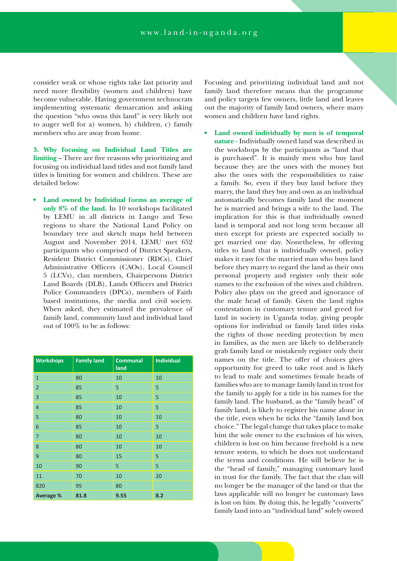consider weak or whose rights take last priority and need more flexibility (women and children) have become vulnerable. Having government technocrats implementing systematic demarcation and asking the question "who owns this land" is very likely not to auger well for a) women, b) children, c) family members who are away from home.

**3. Why focusing on Individual Land Titles are limiting** – There are five reasons why prioritizing and focusing on individual land titles and not family land titles is limiting for women and children. These are detailed below:

**• Land owned by Individual forms an average of only 8% of the land.** In 10 workshops facilitated by LEMU in all districts in Lango and Teso regions to share the National Land Policy on boundary tree and sketch maps held between August and November 2014, LEMU met 652 participants who comprised of District Speakers, Resident District Commissioner (RDCs), Chief Administrative Officers (CAOs), Local Council 5 (LCVs), clan members, Chairpersons District Land Boards (DLB), Lands Officers and District Police Commanders (DPCs), members of Faith based institutions, the media and civil society. When asked, they estimated the prevalence of family land, community land and individual land out of 100% to be as follows:

| <b>Workshops</b> | <b>Family land</b> | <b>Communal</b><br>land | <b>Individual</b> |
|------------------|--------------------|-------------------------|-------------------|
| $\mathbf{1}$     | 80                 | 10                      | 10                |
| $\overline{2}$   | 85                 | 5                       | 5                 |
| 3                | 85                 | 10                      | 5                 |
| $\overline{4}$   | 85                 | 10                      | 5                 |
| 5                | 80                 | 10                      | 10                |
| 6                | 85                 | 10                      | 5                 |
| $\overline{7}$   | 80                 | 10                      | 10                |
| 8                | 80                 | 10                      | 10                |
| 9                | 80                 | 15                      | 5                 |
| 10               | 90                 | 5                       | 5                 |
| 11               | 70                 | 10                      | 20                |
| 820              | 95                 | 80                      |                   |
| <b>Average %</b> | 81.8               | 9.55                    | 8.2               |

Focusing and prioritizing individual land and not family land therefore means that the programme and policy targets few owners, little land and leaves out the majority of family land owners, where many women and children have land rights.

Land owned individually by men is of temporal **nature -** Individually owned land was described in the workshops by the participants as "land that is purchased". It is mainly men who buy land because they are the ones with the money but also the ones with the responsibilities to raise a family. So, even if they buy land before they marry, the land they buy and own as an individual automatically becomes family land the moment he is married and brings a wife to the land. The implication for this is that individually owned land is temporal and not long term because all men except for priests are expected socially to get married one day. Nonetheless, by offering titles to land that is individually owned, policy makes it easy for the married man who buys land before they marry to regard the land as their own personal property and register only their sole names to the exclusion of the wives and children. Policy also plays on the greed and ignorance of the male head of family. Given the land rights contestation in customary tenure and greed for land in society in Uganda today, giving people options for individual or family land titles risks the rights of those needing protection by men in families, as the men are likely to deliberately grab family land or mistakenly register only their names on the title. The offer of choices gives opportunity for greed to take root and is likely to lead to male and sometimes female heads of families who are to manage family land in trust for the family to apply for a title in his names for the family land. The husband, as the "family head" of family land, is likely to register his name alone in the title, even when he ticks the "family land box choice." The legal change that takes place to make him the sole owner to the exclusion of his wives, children is lost on him because freehold is a new tenure system, to which he does not understand the terms and conditions. He will believe he is the "head of family," managing customary land in trust for the family. The fact that the clan will no longer be the manager of the land or that the laws applicable will no longer be customary laws is lost on him. By doing this, he legally "converts" family land into an "individual land" solely owned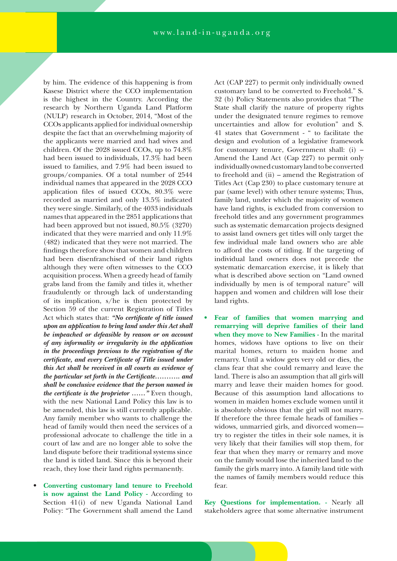by him. The evidence of this happening is from Kasese District where the CCO implementation is the highest in the Country. According the research by Northern Uganda Land Platform (NULP) research in October, 2014, "Most of the CCOs applicants applied for individual ownership despite the fact that an overwhelming majority of the applicants were married and had wives and children. Of the 2028 issued CCOs, up to 74.8% had been issued to individuals, 17.3% had been issued to families, and 7.9% had been issued to groups/companies. Of a total number of 2544 individual names that appeared in the 2028 CCO application files of issued CCOs, 80.3% were recorded as married and only 13.5% indicated they were single. Similarly, of the 4033 individuals names that appeared in the 2851 applications that had been approved but not issued, 80.5% (3270) indicated that they were married and only 11.9% (482) indicated that they were not married. The findings therefore show that women and children had been disenfranchised of their land rights although they were often witnesses to the CCO acquisition process. When a greedy head of family grabs land from the family and titles it, whether fraudulently or through lack of understanding of its implication, s/he is then protected by Section 59 of the current Registration of Titles Act which states that: *"No certificate of title issued upon an application to bring land under this Act shall be impeached or defeasible by reason or on account of any informality or irregularity in the application in the proceedings previous to the registration of the certificate, and every Certificate of Title issued under this Act shall be received in all courts as evidence of the particular set forth in the Certificate……….. and shall be conclusive evidence that the person named in the certificate is the proprietor ……"* Even though, with the new National Land Policy this law is to be amended, this law is still currently applicable. Any family member who wants to challenge the head of family would then need the services of a professional advocate to challenge the title in a court of law and are no longer able to solve the land dispute before their traditional systems since the land is titled land. Since this is beyond their reach, they lose their land rights permanently.

• **Converting customary land tenure to Freehold is now against the Land Policy -** According to Section 41(i) of new Uganda National Land Policy: "The Government shall amend the Land Act (CAP 227) to permit only individually owned customary land to be converted to Freehold." S. 32 (b) Policy Statements also provides that "The State shall clarify the nature of property rights under the designated tenure regimes to remove uncertainties and allow for evolution" and S. 41 states that Government - " to facilitate the design and evolution of a legislative framework for customary tenure, Government shall: (i) – Amend the Land Act (Cap 227) to permit only individually owned customary land to be converted to freehold and (ii) – amend the Registration of Titles Act (Cap 230) to place customary tenure at par (same level) with other tenure systems; Thus, family land, under which the majority of women have land rights, is excluded from conversion to freehold titles and any government programmes such as systematic demarcation projects designed to assist land owners get titles will only target the few individual male land owners who are able to afford the costs of titling. If the targeting of individual land owners does not precede the systematic demarcation exercise, it is likely that what is described above section on "Land owned individually by men is of temporal nature" will happen and women and children will lose their land rights.

**• Fear of families that women marrying and remarrying will deprive families of their land when they move to New Families -** In the marital homes, widows have options to live on their marital homes, return to maiden home and remarry. Until a widow gets very old or dies, the clans fear that she could remarry and leave the land. There is also an assumption that all girls will marry and leave their maiden homes for good. Because of this assumption land allocations to women in maiden homes exclude women until it is absolutely obvious that the girl will not marry. If therefore the three female heads of families – widows, unmarried girls, and divorced women try to register the titles in their sole names, it is very likely that their families will stop them, for fear that when they marry or remarry and move on the family would lose the inherited land to the family the girls marry into. A family land title with the names of family members would reduce this fear.

**Key Questions for implementation. -** Nearly all stakeholders agree that some alternative instrument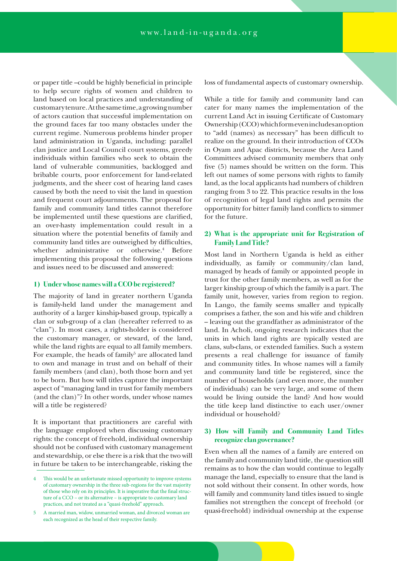or paper title –could be highly beneficial in principle to help secure rights of women and children to land based on local practices and understanding of customary tenure. At the same time, a growing number of actors caution that successful implementation on the ground faces far too many obstacles under the current regime. Numerous problems hinder proper land administration in Uganda, including: parallel clan justice and Local Council court systems, greedy individuals within families who seek to obtain the land of vulnerable communities, backlogged and bribable courts, poor enforcement for land-related judgments, and the sheer cost of hearing land cases caused by both the need to visit the land in question and frequent court adjournments. The proposal for family and community land titles cannot therefore be implemented until these questions are clarified, an over-hasty implementation could result in a situation where the potential benefits of family and community land titles are outweighed by difficulties, whether administrative or otherwise.4 Before implementing this proposal the following questions and issues need to be discussed and answered:

# **1) Under whose names will a CCO be registered?**

The majority of land in greater northern Uganda is family-held land under the management and authority of a larger kinship-based group, typically a clan or sub-group of a clan (hereafter referred to as "clan"). In most cases, a rights-holder is considered the customary manager, or steward, of the land, while the land rights are equal to all family members. For example, the heads of family<sup>5</sup> are allocated land to own and manage in trust and on behalf of their family members (and clan), both those born and yet to be born. But how will titles capture the important aspect of "managing land in trust for family members (and the clan)"? In other words, under whose names will a title be registered?

It is important that practitioners are careful with the language employed when discussing customary rights: the concept of freehold, individual ownership should not be confused with customary management and stewardship, or else there is a risk that the two will in future be taken to be interchangeable, risking the loss of fundamental aspects of customary ownership.

While a title for family and community land can cater for many names the implementation of the current Land Act in issuing Certificate of Customary Ownership (CCO) which form even includes an option to "add (names) as necessary" has been difficult to realize on the ground. In their introduction of CCOs in Oyam and Apac districts, because the Area Land Committees advised community members that only five (5) names should be written on the form. This left out names of some persons with rights to family land, as the local applicants had numbers of children ranging from 3 to 22. This practice results in the loss of recognition of legal land rights and permits the opportunity for bitter family land conflicts to simmer for the future.

# **2) What is the appropriate unit for Registration of Family Land Title?**

Most land in Northern Uganda is held as either individually, as family or community/clan land, managed by heads of family or appointed people in trust for the other family members, as well as for the larger kinship group of which the family is a part. The family unit, however, varies from region to region. In Lango, the family seems smaller and typically comprises a father, the son and his wife and children – leaving out the grandfather as administrator of the land. In Acholi, ongoing research indicates that the units in which land rights are typically vested are clans, sub-clans, or extended families. Such a system presents a real challenge for issuance of family and community titles. In whose names will a family and community land title be registered, since the number of households (and even more, the number of individuals) can be very large, and some of them would be living outside the land? And how would the title keep land distinctive to each user/owner individual or household?

### **3) How will Family and Community Land Titles recognize clan governance?**

Even when all the names of a family are entered on the family and community land title, the question still remains as to how the clan would continue to legally manage the land, especially to ensure that the land is not sold without their consent. In other words, how will family and community land titles issued to single families not strengthen the concept of freehold (or quasi-freehold) individual ownership at the expense

<sup>4</sup> This would be an unfortunate missed opportunity to improve systems of customary ownership in the three sub-regions for the vast majority of those who rely on its principles. It is imperative that the final structure of a CCO – or its alternative – is appropriate to customary land practices, and not treated as a "quasi-freehold" approach.

<sup>5</sup> A married man, widow, unmarried woman, and divorced woman are each recognized as the head of their respective family.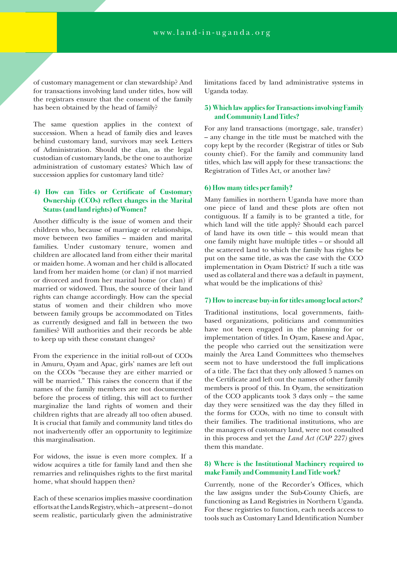of customary management or clan stewardship? And for transactions involving land under titles, how will the registrars ensure that the consent of the family has been obtained by the head of family?

The same question applies in the context of succession. When a head of family dies and leaves behind customary land, survivors may seek Letters of Administration. Should the clan, as the legal custodian of customary lands, be the one to authorize administration of customary estates? Which law of succession applies for customary land title?

# **4) How can Titles or Certificate of Customary Ownership (CCOs) reflect changes in the Marital Status (and land rights) of Women?**

Another difficulty is the issue of women and their children who, because of marriage or relationships, move between two families – maiden and marital families. Under customary tenure, women and children are allocated land from either their marital or maiden home. A woman and her child is allocated land from her maiden home (or clan) if not married or divorced and from her marital home (or clan) if married or widowed. Thus, the source of their land rights can change accordingly. How can the special status of women and their children who move between family groups be accommodated on Titles as currently designed and fall in between the two families? Will authorities and their records be able to keep up with these constant changes?

From the experience in the initial roll-out of CCOs in Amuru, Oyam and Apac, girls' names are left out on the CCOs "because they are either married or will be married." This raises the concern that if the names of the family members are not documented before the process of titling, this will act to further marginalize the land rights of women and their children rights that are already all too often abused. It is crucial that family and community land titles do not inadvertently offer an opportunity to legitimize this marginalisation.

For widows, the issue is even more complex. If a widow acquires a title for family land and then she remarries and relinquishes rights to the first marital home, what should happen then?

Each of these scenarios implies massive coordination efforts at the Lands Registry, which – at present – do not seem realistic, particularly given the administrative limitations faced by land administrative systems in Uganda today.

### **5) Which law applies for Transactions involving Family and Community Land Titles?**

For any land transactions (mortgage, sale, transfer) – any change in the title must be matched with the copy kept by the recorder (Registrar of titles or Sub county chief). For the family and community land titles, which law will apply for these transactions: the Registration of Titles Act, or another law?

### **6) How many titles per family?**

Many families in northern Uganda have more than one piece of land and these plots are often not contiguous. If a family is to be granted a title, for which land will the title apply? Should each parcel of land have its own title – this would mean that one family might have multiple titles – or should all the scattered land to which the family has rights be put on the same title, as was the case with the CCO implementation in Oyam District? If such a title was used as collateral and there was a default in payment, what would be the implications of this?

#### **7) How to increase buy-in for titles among local actors?**

Traditional institutions, local governments, faithbased organizations, politicians and communities have not been engaged in the planning for or implementation of titles. In Oyam, Kasese and Apac, the people who carried out the sensitization were mainly the Area Land Committees who themselves seem not to have understood the full implications of a title. The fact that they only allowed 5 names on the Certificate and left out the names of other family members is proof of this. In Oyam, the sensitization of the CCO applicants took 3 days only – the same day they were sensitized was the day they filled in the forms for CCOs, with no time to consult with their families. The traditional institutions, who are the managers of customary land, were not consulted in this process and yet the *Land Act (CAP 227)* gives them this mandate.

# **8) Where is the Institutional Machinery required to make Family and Community Land Title work?**

Currently, none of the Recorder's Offices, which the law assigns under the Sub-County Chiefs, are functioning as Land Registries in Northern Uganda. For these registries to function, each needs access to tools such as Customary Land Identification Number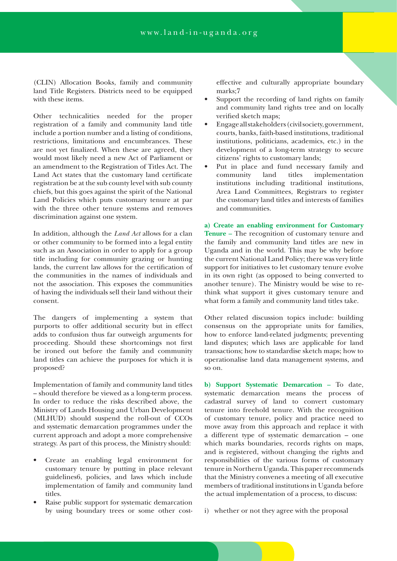(CLIN) Allocation Books, family and community land Title Registers. Districts need to be equipped with these items.

Other technicalities needed for the proper registration of a family and community land title include a portion number and a listing of conditions, restrictions, limitations and encumbrances. These are not yet finalized. When these are agreed, they would most likely need a new Act of Parliament or an amendment to the Registration of Titles Act. The Land Act states that the customary land certificate registration be at the sub county level with sub county chiefs, but this goes against the spirit of the National Land Policies which puts customary tenure at par with the three other tenure systems and removes discrimination against one system.

In addition, although the *Land Act* allows for a clan or other community to be formed into a legal entity such as an Association in order to apply for a group title including for community grazing or hunting lands, the current law allows for the certification of the communities in the names of individuals and not the association. This exposes the communities of having the individuals sell their land without their consent.

The dangers of implementing a system that purports to offer additional security but in effect adds to confusion thus far outweigh arguments for proceeding. Should these shortcomings not first be ironed out before the family and community land titles can achieve the purposes for which it is proposed?

Implementation of family and community land titles – should therefore be viewed as a long-term process. In order to reduce the risks described above, the Ministry of Lands Housing and Urban Development (MLHUD) should suspend the roll-out of CCOs and systematic demarcation programmes under the current approach and adopt a more comprehensive strategy. As part of this process, the Ministry should:

- Create an enabling legal environment for customary tenure by putting in place relevant guidelines6, policies, and laws which include implementation of family and community land titles.
- Raise public support for systematic demarcation by using boundary trees or some other cost-

effective and culturally appropriate boundary marks;7

- Support the recording of land rights on family and community land rights tree and on locally verified sketch maps;
- Engage all stakeholders (civil society, government, courts, banks, faith-based institutions, traditional institutions, politicians, academics, etc.) in the development of a long-term strategy to secure citizens' rights to customary lands;
- Put in place and fund necessary family and community land titles implementation institutions including traditional institutions, Area Land Committees, Registrars to register the customary land titles and interests of families and communities.

**a) Create an enabling environment for Customary Tenure –** The recognition of customary tenure and the family and community land titles are new in Uganda and in the world. This may be why before the current National Land Policy; there was very little support for initiatives to let customary tenure evolve in its own right (as opposed to being converted to another tenure). The Ministry would be wise to rethink what support it gives customary tenure and what form a family and community land titles take.

Other related discussion topics include: building consensus on the appropriate units for families, how to enforce land-related judgments; preventing land disputes; which laws are applicable for land transactions; how to standardise sketch maps; how to operationalise land data management systems, and so on.

**b) Support Systematic Demarcation –** To date, systematic demarcation means the process of cadastral survey of land to convert customary tenure into freehold tenure. With the recognition of customary tenure, policy and practice need to move away from this approach and replace it with a different type of systematic demarcation – one which marks boundaries, records rights on maps, and is registered, without changing the rights and responsibilities of the various forms of customary tenure in Northern Uganda. This paper recommends that the Ministry convenes a meeting of all executive members of traditional institutions in Uganda before the actual implementation of a process, to discuss:

i) whether or not they agree with the proposal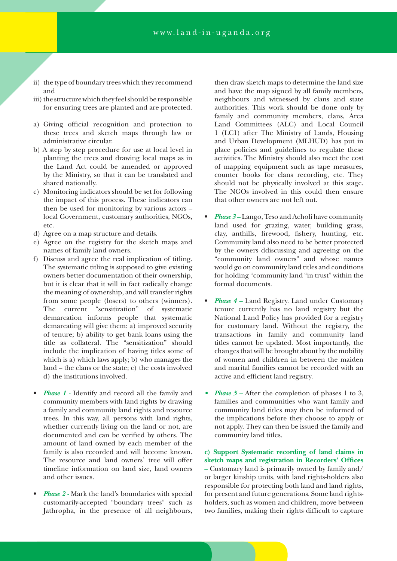- ii) the type of boundary trees which they recommend and
- iii) the structure which they feel should be responsible for ensuring trees are planted and are protected.
- a) Giving official recognition and protection to these trees and sketch maps through law or administrative circular.
- b) A step by step procedure for use at local level in planting the trees and drawing local maps as in the Land Act could be amended or approved by the Ministry, so that it can be translated and shared nationally.
- c) Monitoring indicators should be set for following the impact of this process. These indicators can then be used for monitoring by various actors – local Government, customary authorities, NGOs, etc.
- d) Agree on a map structure and details.
- e) Agree on the registry for the sketch maps and names of family land owners.
- f) Discuss and agree the real implication of titling. The systematic titling is supposed to give existing owners better documentation of their ownership, but it is clear that it will in fact radically change the meaning of ownership, and will transfer rights from some people (losers) to others (winners). The current "sensitization" of systematic demarcation informs people that systematic demarcating will give them: a) improved security of tenure; b) ability to get bank loans using the title as collateral. The "sensitization" should include the implication of having titles some of which is a) which laws apply; b) who manages the land – the clans or the state; c) the costs involved d) the institutions involved.
- *Phase 1 -* Identify and record all the family and community members with land rights by drawing a family and community land rights and resource trees. In this way, all persons with land rights, whether currently living on the land or not, are documented and can be verified by others. The amount of land owned by each member of the family is also recorded and will become known. The resource and land owners' tree will offer timeline information on land size, land owners and other issues.
- *Phase 2* Mark the land's boundaries with special customarily-accepted "boundary trees" such as Jathropha, in the presence of all neighbours,

then draw sketch maps to determine the land size and have the map signed by all family members, neighbours and witnessed by clans and state authorities. This work should be done only by family and community members, clans, Area Land Committees (ALC) and Local Council 1 (LC1) after The Ministry of Lands, Housing and Urban Development (MLHUD) has put in place policies and guidelines to regulate these activities. The Ministry should also meet the cost of mapping equipment such as tape measures, counter books for clans recording, etc. They should not be physically involved at this stage. The NGOs involved in this could then ensure that other owners are not left out.

- *Phase 3* Lango, Teso and Acholi have community land used for grazing, water, building grass, clay, anthills, firewood, fishery, hunting, etc. Community land also need to be better protected by the owners ddiscussing and agreeing on the "community land owners" and whose names would go on community land titles and conditions for holding "community land "in trust" within the formal documents.
- *Phase 4* Land Registry. Land under Customary tenure currently has no land registry but the National Land Policy has provided for a registry for customary land. Without the registry, the transactions in family and community land titles cannot be updated. Most importantly, the changes that will be brought about by the mobility of women and children in between the maiden and marital families cannot be recorded with an active and efficient land registry.
- *Phase 5* After the completion of phases 1 to 3, families and communities who want family and community land titles may then be informed of the implications before they choose to apply or not apply. They can then be issued the family and community land titles.

**c) Support Systematic recording of land claims in sketch maps and registration in Recorders' Offices –** Customary land is primarily owned by family and/ or larger kinship units, with land rights-holders also responsible for protecting both land and land rights, for present and future generations. Some land rightsholders, such as women and children, move between two families, making their rights difficult to capture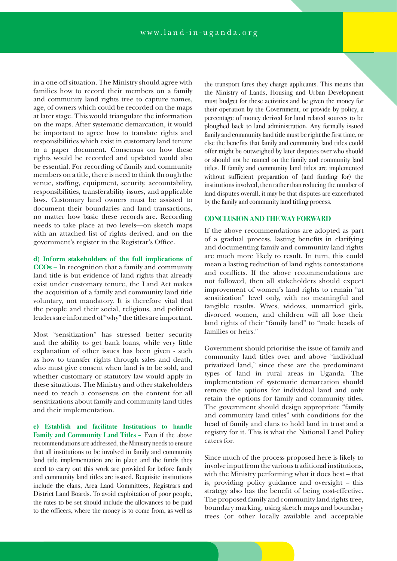in a one-off situation. The Ministry should agree with families how to record their members on a family and community land rights tree to capture names, age, of owners which could be recorded on the maps at later stage. This would triangulate the information on the maps. After systematic demarcation, it would be important to agree how to translate rights and responsibilities which exist in customary land tenure to a paper document. Consensus on how these rights would be recorded and updated would also be essential. For recording of family and community members on a title, there is need to think through the venue, staffing, equipment, security, accountability, responsibilities, transferability issues, and applicable laws. Customary land owners must be assisted to document their boundaries and land transactions, no matter how basic these records are. Recording needs to take place at two levels—on sketch maps with an attached list of rights derived, and on the government's register in the Registrar's Office.

**d) Inform stakeholders of the full implications of** 

**CCOs –** In recognition that a family and community land title is but evidence of land rights that already exist under customary tenure, the Land Act makes the acquisition of a family and community land title voluntary, not mandatory. It is therefore vital that the people and their social, religious, and political leaders are informed of "why" the titles are important.

Most "sensitization" has stressed better security and the ability to get bank loans, while very little explanation of other issues has been given - such as how to transfer rights through sales and death, who must give consent when land is to be sold, and whether customary or statutory law would apply in these situations. The Ministry and other stakeholders need to reach a consensus on the content for all sensitizations about family and community land titles and their implementation.

**e) Establish and facilitate Institutions to handle Family and Community Land Titles –** Even if the above recommendations are addressed, the Ministry needs to ensure that all institutions to be involved in family and community land title implementation are in place and the funds they need to carry out this work are provided for before family and community land titles are issued. Requisite institutions include the clans, Area Land Committees, Registrars and District Land Boards. To avoid exploitation of poor people, the rates to be set should include the allowances to be paid to the officers, where the money is to come from, as well as

the transport fares they charge applicants. This means that the Ministry of Lands, Housing and Urban Development must budget for these activities and be given the money for their operation by the Government, or provide by policy, a percentage of money derived for land related sources to be ploughed back to land administration. Any formally issued family and community land title must be right the first time, or else the benefits that family and community land titles could offer might be outweighed by later disputes over who should or should not be named on the family and community land titles. If family and community land titles are implemented without sufficient preparation of (and funding for) the institutions involved, then rather than reducing the number of land disputes overall, it may be that disputes are exacerbated by the family and community land titling process.

#### **CONCLUSION AND THE WAY FORWARD**

If the above recommendations are adopted as part of a gradual process, lasting benefits in clarifying and documenting family and community land rights are much more likely to result. In turn, this could mean a lasting reduction of land rights contestations and conflicts. If the above recommendations are not followed, then all stakeholders should expect improvement of women's land rights to remain "at sensitization" level only, with no meaningful and tangible results. Wives, widows, unmarried girls, divorced women, and children will all lose their land rights of their "family land" to "male heads of families or heirs."

Government should prioritise the issue of family and community land titles over and above "individual privatized land," since these are the predominant types of land in rural areas in Uganda. The implementation of systematic demarcation should remove the options for individual land and only retain the options for family and community titles. The government should design appropriate "family and community land titles" with conditions for the head of family and clans to hold land in trust and a registry for it. This is what the National Land Policy caters for.

Since much of the process proposed here is likely to involve input from the various traditional institutions, with the Ministry performing what it does best – that is, providing policy guidance and oversight – this strategy also has the benefit of being cost-effective. The proposed family and community land rights tree, boundary marking, using sketch maps and boundary trees (or other locally available and acceptable